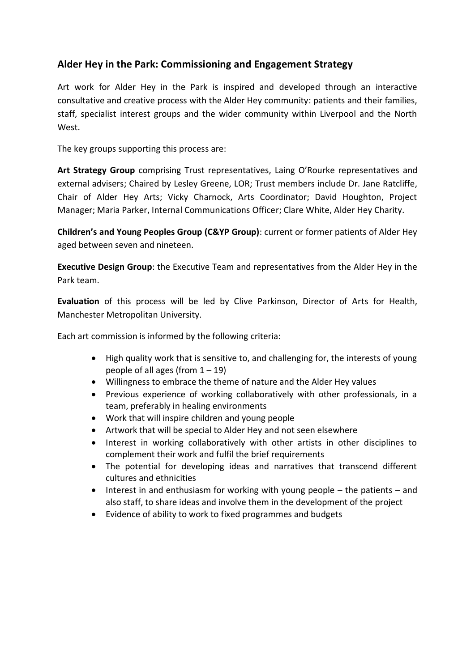# **Alder Hey in the Park: Commissioning and Engagement Strategy**

Art work for Alder Hey in the Park is inspired and developed through an interactive consultative and creative process with the Alder Hey community: patients and their families, staff, specialist interest groups and the wider community within Liverpool and the North West.

The key groups supporting this process are:

**Art Strategy Group** comprising Trust representatives, Laing O'Rourke representatives and external advisers; Chaired by Lesley Greene, LOR; Trust members include Dr. Jane Ratcliffe, Chair of Alder Hey Arts; Vicky Charnock, Arts Coordinator; David Houghton, Project Manager; Maria Parker, Internal Communications Officer; Clare White, Alder Hey Charity.

**Children's and Young Peoples Group (C&YP Group)**: current or former patients of Alder Hey aged between seven and nineteen.

**Executive Design Group**: the Executive Team and representatives from the Alder Hey in the Park team.

**Evaluation** of this process will be led by Clive Parkinson, Director of Arts for Health, Manchester Metropolitan University.

Each art commission is informed by the following criteria:

- High quality work that is sensitive to, and challenging for, the interests of young people of all ages (from  $1 - 19$ )
- Willingness to embrace the theme of nature and the Alder Hey values
- Previous experience of working collaboratively with other professionals, in a team, preferably in healing environments
- Work that will inspire children and young people
- Artwork that will be special to Alder Hey and not seen elsewhere
- Interest in working collaboratively with other artists in other disciplines to complement their work and fulfil the brief requirements
- The potential for developing ideas and narratives that transcend different cultures and ethnicities
- $\bullet$  Interest in and enthusiasm for working with young people the patients and also staff, to share ideas and involve them in the development of the project
- Evidence of ability to work to fixed programmes and budgets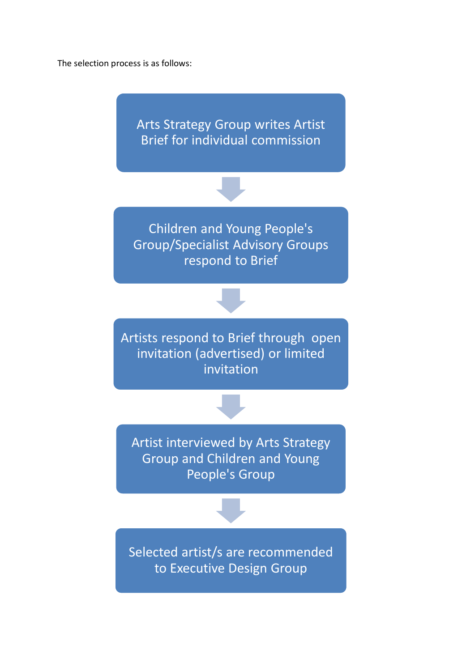The selection process is as follows:

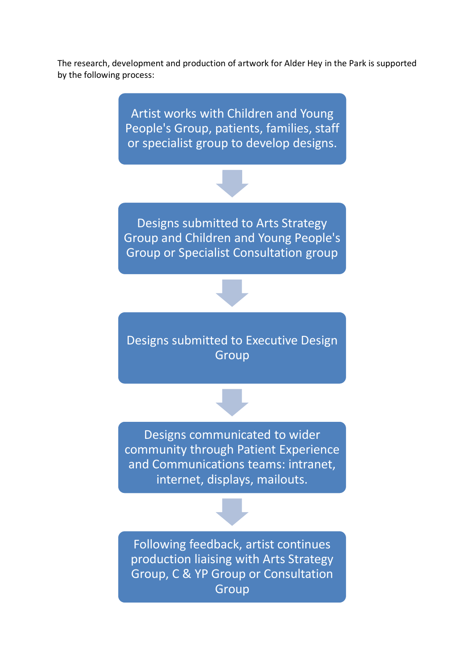The research, development and production of artwork for Alder Hey in the Park is supported by the following process:

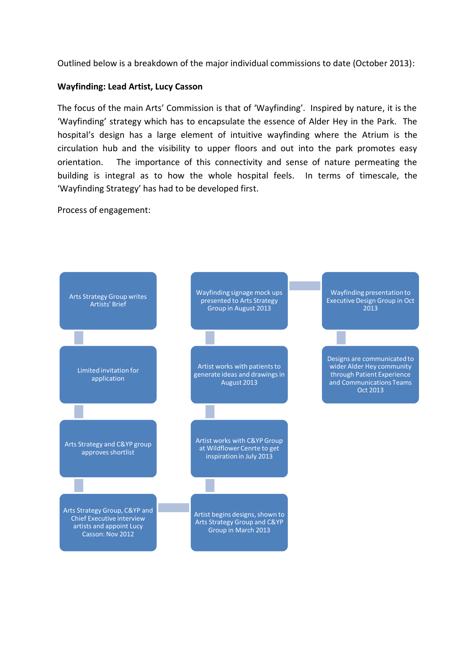Outlined below is a breakdown of the major individual commissions to date (October 2013):

## **Wayfinding: Lead Artist, Lucy Casson**

The focus of the main Arts' Commission is that of 'Wayfinding'. Inspired by nature, it is the 'Wayfinding' strategy which has to encapsulate the essence of Alder Hey in the Park. The hospital's design has a large element of intuitive wayfinding where the Atrium is the circulation hub and the visibility to upper floors and out into the park promotes easy orientation. The importance of this connectivity and sense of nature permeating the building is integral as to how the whole hospital feels. In terms of timescale, the 'Wayfinding Strategy' has had to be developed first.

Process of engagement:

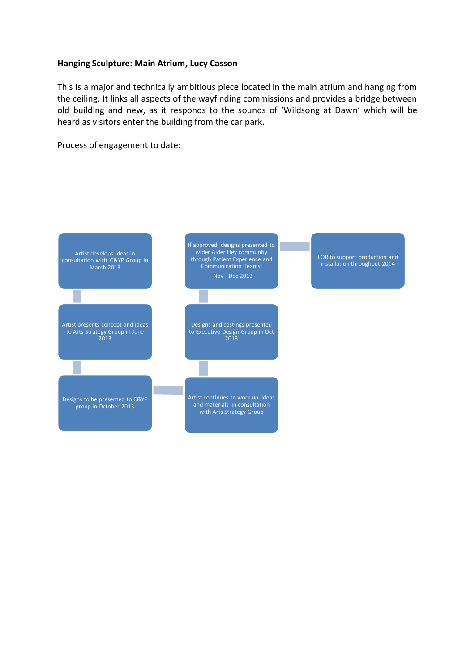#### **Hanging Sculpture: Main Atrium, Lucy Casson**

This is a major and technically ambitious piece located in the main atrium and hanging from the ceiling. It links all aspects of the wayfinding commissions and provides a bridge between old building and new, as it responds to the sounds of 'Wildsong at Dawn' which will be heard as visitors enter the building from the car park.

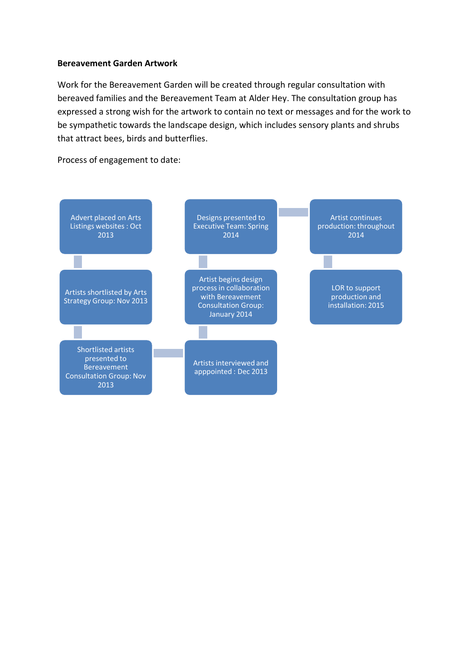#### **Bereavement Garden Artwork**

Work for the Bereavement Garden will be created through regular consultation with bereaved families and the Bereavement Team at Alder Hey. The consultation group has expressed a strong wish for the artwork to contain no text or messages and for the work to be sympathetic towards the landscape design, which includes sensory plants and shrubs that attract bees, birds and butterflies.

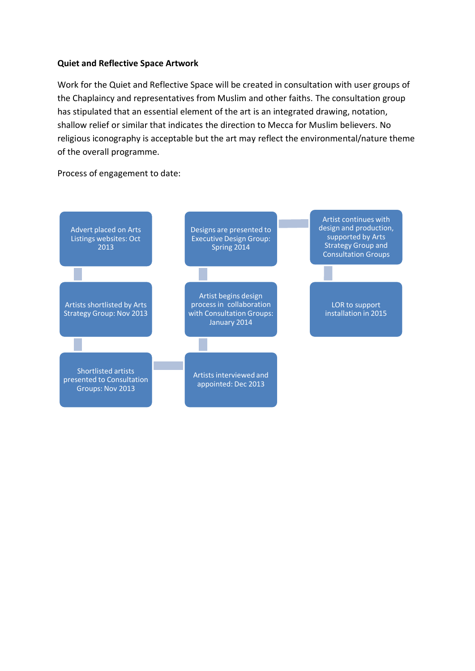## **Quiet and Reflective Space Artwork**

Work for the Quiet and Reflective Space will be created in consultation with user groups of the Chaplaincy and representatives from Muslim and other faiths. The consultation group has stipulated that an essential element of the art is an integrated drawing, notation, shallow relief or similar that indicates the direction to Mecca for Muslim believers. No religious iconography is acceptable but the art may reflect the environmental/nature theme of the overall programme.

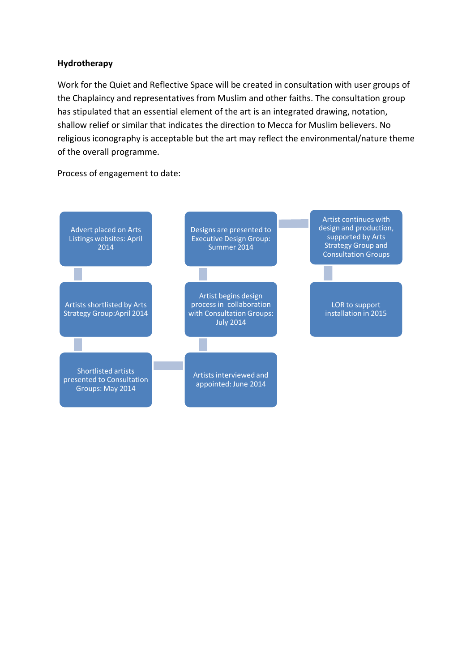## **Hydrotherapy**

Work for the Quiet and Reflective Space will be created in consultation with user groups of the Chaplaincy and representatives from Muslim and other faiths. The consultation group has stipulated that an essential element of the art is an integrated drawing, notation, shallow relief or similar that indicates the direction to Mecca for Muslim believers. No religious iconography is acceptable but the art may reflect the environmental/nature theme of the overall programme.

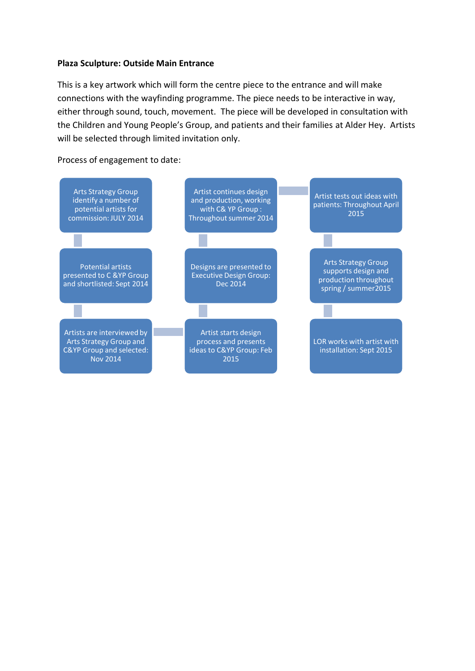#### **Plaza Sculpture: Outside Main Entrance**

This is a key artwork which will form the centre piece to the entrance and will make connections with the wayfinding programme. The piece needs to be interactive in way, either through sound, touch, movement. The piece will be developed in consultation with the Children and Young People's Group, and patients and their families at Alder Hey. Artists will be selected through limited invitation only.